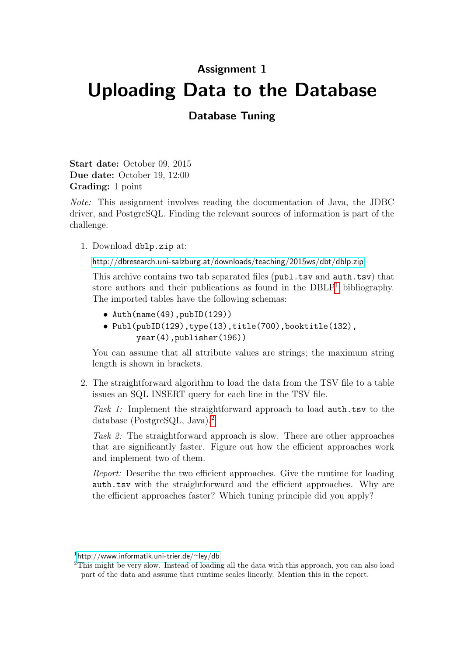## Assignment 1 Uploading Data to the Database

## Database Tuning

Start date: October 09, 2015 Due date: October 19, 12:00 Grading: 1 point

Note: This assignment involves reading the documentation of Java, the JDBC driver, and PostgreSQL. Finding the relevant sources of information is part of the challenge.

1. Download dblp.zip at:

<http://dbresearch.uni-salzburg.at/downloads/teaching/2015ws/dbt/dblp.zip>

This archive contains two tab separated files (publ.tsv and auth.tsv) that store authors and their publications as found in the  $DBLP<sup>1</sup>$  $DBLP<sup>1</sup>$  $DBLP<sup>1</sup>$  bibliography. The imported tables have the following schemas:

- Auth(name(49),pubID(129))
- Publ(pubID(129),type(13),title(700),booktitle(132), year(4),publisher(196))

You can assume that all attribute values are strings; the maximum string length is shown in brackets.

2. The straightforward algorithm to load the data from the TSV file to a table issues an SQL INSERT query for each line in the TSV file.

Task 1: Implement the straightforward approach to load auth.tsv to the database (PostgreSQL, Java).[2](#page-0-1)

Task 2: The straightforward approach is slow. There are other approaches that are significantly faster. Figure out how the efficient approaches work and implement two of them.

Report: Describe the two efficient approaches. Give the runtime for loading auth.tsv with the straightforward and the efficient approaches. Why are the efficient approaches faster? Which tuning principle did you apply?

<span id="page-0-0"></span><sup>1</sup>[http://www.informatik.uni-trier.de/](http://www.informatik.uni-trier.de/~ley/db)∼ley/db

<span id="page-0-1"></span><sup>2</sup>This might be very slow. Instead of loading all the data with this approach, you can also load part of the data and assume that runtime scales linearly. Mention this in the report.